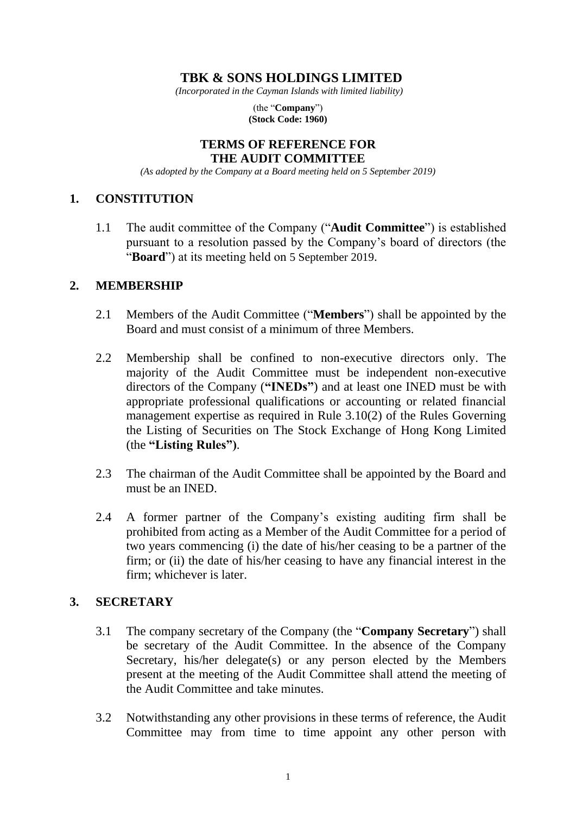# **TBK & SONS HOLDINGS LIMITED**

*(Incorporated in the Cayman Islands with limited liability)*

(the "**Company**") **(Stock Code: 1960)**

#### **TERMS OF REFERENCE FOR THE AUDIT COMMITTEE**

*(As adopted by the Company at a Board meeting held on 5 September 2019)*

# **1. CONSTITUTION**

1.1 The audit committee of the Company ("**Audit Committee**") is established pursuant to a resolution passed by the Company's board of directors (the "**Board**") at its meeting held on 5 September 2019.

#### **2. MEMBERSHIP**

- 2.1 Members of the Audit Committee ("**Members**") shall be appointed by the Board and must consist of a minimum of three Members.
- 2.2 Membership shall be confined to non-executive directors only. The majority of the Audit Committee must be independent non-executive directors of the Company (**"INEDs"**) and at least one INED must be with appropriate professional qualifications or accounting or related financial management expertise as required in Rule 3.10(2) of the Rules Governing the Listing of Securities on The Stock Exchange of Hong Kong Limited (the **"Listing Rules")**.
- 2.3 The chairman of the Audit Committee shall be appointed by the Board and must be an INED.
- 2.4 A former partner of the Company's existing auditing firm shall be prohibited from acting as a Member of the Audit Committee for a period of two years commencing (i) the date of his/her ceasing to be a partner of the firm; or (ii) the date of his/her ceasing to have any financial interest in the firm; whichever is later.

# **3. SECRETARY**

- 3.1 The company secretary of the Company (the "**Company Secretary**") shall be secretary of the Audit Committee. In the absence of the Company Secretary, his/her delegate(s) or any person elected by the Members present at the meeting of the Audit Committee shall attend the meeting of the Audit Committee and take minutes.
- 3.2 Notwithstanding any other provisions in these terms of reference, the Audit Committee may from time to time appoint any other person with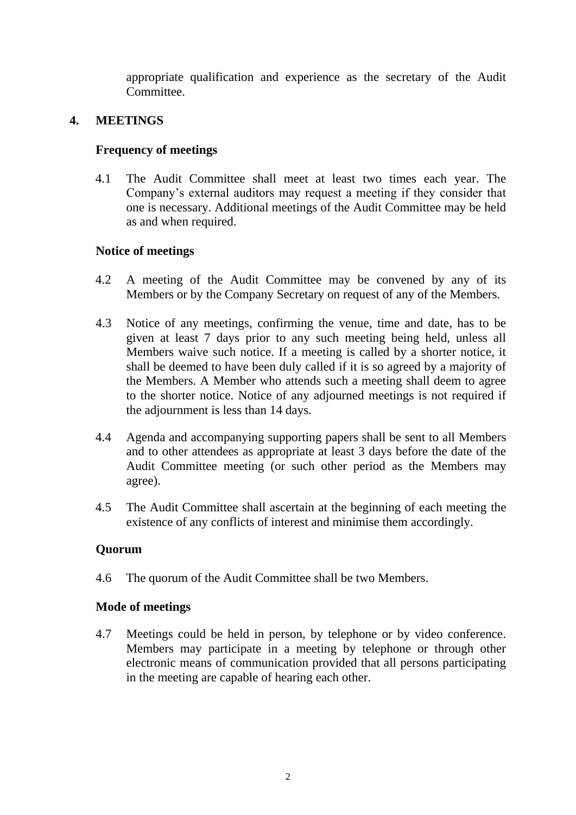appropriate qualification and experience as the secretary of the Audit Committee.

# **4. MEETINGS**

# **Frequency of meetings**

4.1 The Audit Committee shall meet at least two times each year. The Company's external auditors may request a meeting if they consider that one is necessary. Additional meetings of the Audit Committee may be held as and when required.

# **Notice of meetings**

- 4.2 A meeting of the Audit Committee may be convened by any of its Members or by the Company Secretary on request of any of the Members.
- 4.3 Notice of any meetings, confirming the venue, time and date, has to be given at least 7 days prior to any such meeting being held, unless all Members waive such notice. If a meeting is called by a shorter notice, it shall be deemed to have been duly called if it is so agreed by a majority of the Members. A Member who attends such a meeting shall deem to agree to the shorter notice. Notice of any adjourned meetings is not required if the adjournment is less than 14 days.
- 4.4 Agenda and accompanying supporting papers shall be sent to all Members and to other attendees as appropriate at least 3 days before the date of the Audit Committee meeting (or such other period as the Members may agree).
- 4.5 The Audit Committee shall ascertain at the beginning of each meeting the existence of any conflicts of interest and minimise them accordingly.

# **Quorum**

4.6 The quorum of the Audit Committee shall be two Members.

# **Mode of meetings**

4.7 Meetings could be held in person, by telephone or by video conference. Members may participate in a meeting by telephone or through other electronic means of communication provided that all persons participating in the meeting are capable of hearing each other.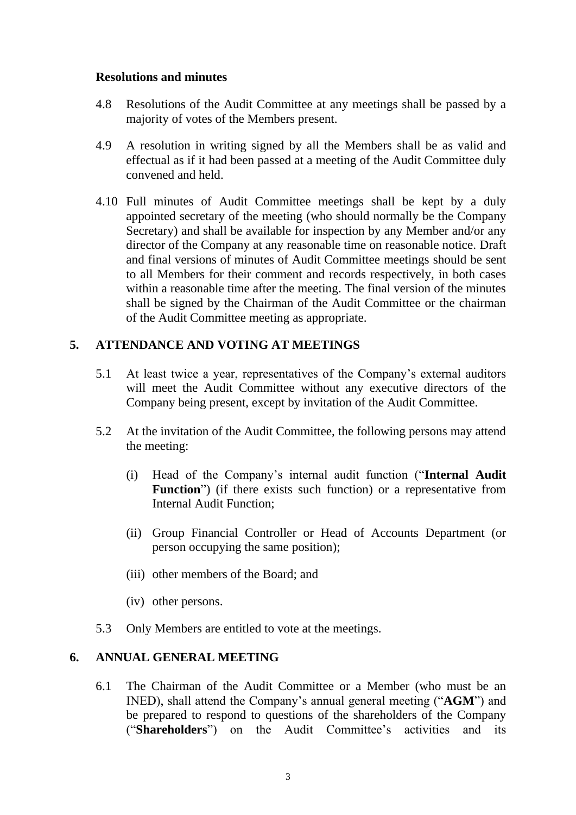#### **Resolutions and minutes**

- 4.8 Resolutions of the Audit Committee at any meetings shall be passed by a majority of votes of the Members present.
- 4.9 A resolution in writing signed by all the Members shall be as valid and effectual as if it had been passed at a meeting of the Audit Committee duly convened and held.
- 4.10 Full minutes of Audit Committee meetings shall be kept by a duly appointed secretary of the meeting (who should normally be the Company Secretary) and shall be available for inspection by any Member and/or any director of the Company at any reasonable time on reasonable notice. Draft and final versions of minutes of Audit Committee meetings should be sent to all Members for their comment and records respectively, in both cases within a reasonable time after the meeting. The final version of the minutes shall be signed by the Chairman of the Audit Committee or the chairman of the Audit Committee meeting as appropriate.

# **5. ATTENDANCE AND VOTING AT MEETINGS**

- 5.1 At least twice a year, representatives of the Company's external auditors will meet the Audit Committee without any executive directors of the Company being present, except by invitation of the Audit Committee.
- 5.2 At the invitation of the Audit Committee, the following persons may attend the meeting:
	- (i) Head of the Company's internal audit function ("**Internal Audit** Function<sup>"</sup>) (if there exists such function) or a representative from Internal Audit Function;
	- (ii) Group Financial Controller or Head of Accounts Department (or person occupying the same position);
	- (iii) other members of the Board; and
	- (iv) other persons.
- 5.3 Only Members are entitled to vote at the meetings.

# **6. ANNUAL GENERAL MEETING**

6.1 The Chairman of the Audit Committee or a Member (who must be an INED), shall attend the Company's annual general meeting ("**AGM**") and be prepared to respond to questions of the shareholders of the Company ("**Shareholders**") on the Audit Committee's activities and its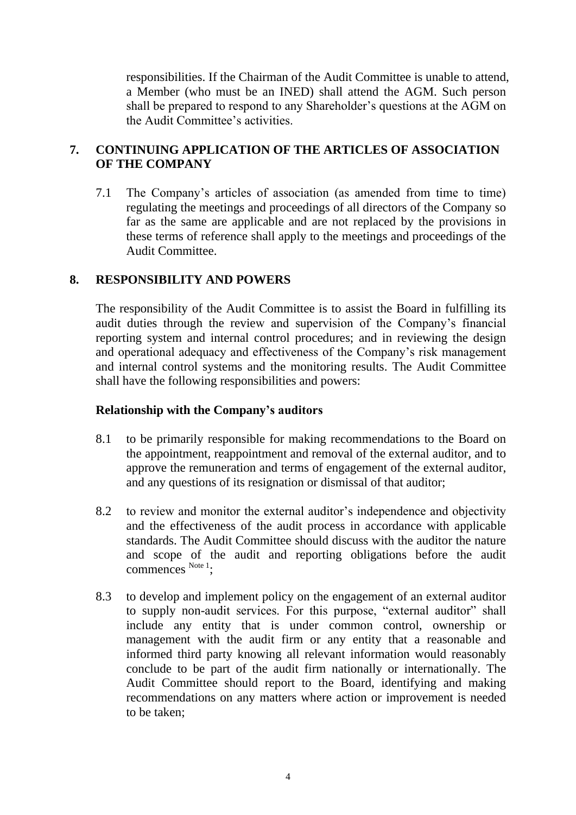responsibilities. If the Chairman of the Audit Committee is unable to attend, a Member (who must be an INED) shall attend the AGM. Such person shall be prepared to respond to any Shareholder's questions at the AGM on the Audit Committee's activities.

# **7. CONTINUING APPLICATION OF THE ARTICLES OF ASSOCIATION OF THE COMPANY**

7.1 The Company's articles of association (as amended from time to time) regulating the meetings and proceedings of all directors of the Company so far as the same are applicable and are not replaced by the provisions in these terms of reference shall apply to the meetings and proceedings of the Audit Committee.

# **8. RESPONSIBILITY AND POWERS**

The responsibility of the Audit Committee is to assist the Board in fulfilling its audit duties through the review and supervision of the Company's financial reporting system and internal control procedures; and in reviewing the design and operational adequacy and effectiveness of the Company's risk management and internal control systems and the monitoring results. The Audit Committee shall have the following responsibilities and powers:

## **Relationship with the Company's auditors**

- 8.1 to be primarily responsible for making recommendations to the Board on the appointment, reappointment and removal of the external auditor, and to approve the remuneration and terms of engagement of the external auditor, and any questions of its resignation or dismissal of that auditor;
- 8.2 to review and monitor the external auditor's independence and objectivity and the effectiveness of the audit process in accordance with applicable standards. The Audit Committee should discuss with the auditor the nature and scope of the audit and reporting obligations before the audit commences Note 1;
- 8.3 to develop and implement policy on the engagement of an external auditor to supply non-audit services. For this purpose, "external auditor" shall include any entity that is under common control, ownership or management with the audit firm or any entity that a reasonable and informed third party knowing all relevant information would reasonably conclude to be part of the audit firm nationally or internationally. The Audit Committee should report to the Board, identifying and making recommendations on any matters where action or improvement is needed to be taken;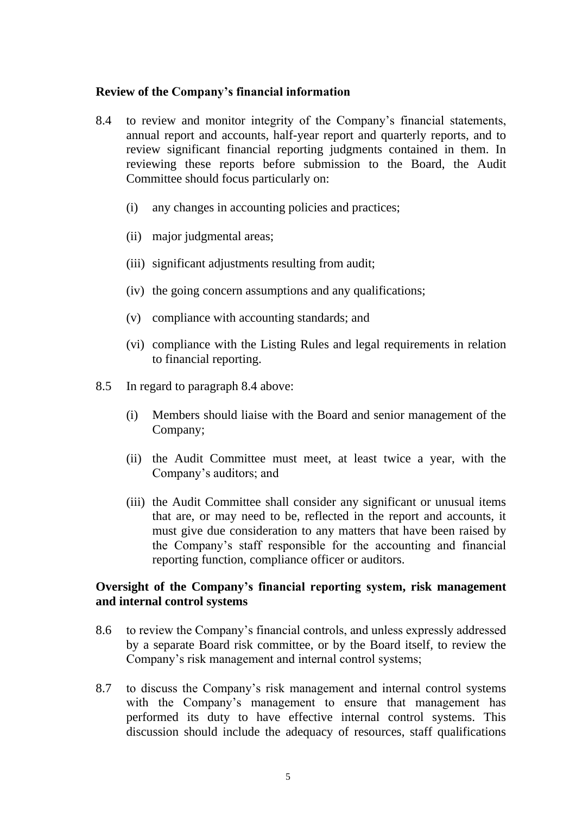#### **Review of the Company's financial information**

- 8.4 to review and monitor integrity of the Company's financial statements, annual report and accounts, half-year report and quarterly reports, and to review significant financial reporting judgments contained in them. In reviewing these reports before submission to the Board, the Audit Committee should focus particularly on:
	- (i) any changes in accounting policies and practices;
	- (ii) major judgmental areas;
	- (iii) significant adjustments resulting from audit;
	- (iv) the going concern assumptions and any qualifications;
	- (v) compliance with accounting standards; and
	- (vi) compliance with the Listing Rules and legal requirements in relation to financial reporting.
- 8.5 In regard to paragraph 8.4 above:
	- (i) Members should liaise with the Board and senior management of the Company;
	- (ii) the Audit Committee must meet, at least twice a year, with the Company's auditors; and
	- (iii) the Audit Committee shall consider any significant or unusual items that are, or may need to be, reflected in the report and accounts, it must give due consideration to any matters that have been raised by the Company's staff responsible for the accounting and financial reporting function, compliance officer or auditors.

#### **Oversight of the Company's financial reporting system, risk management and internal control systems**

- 8.6 to review the Company's financial controls, and unless expressly addressed by a separate Board risk committee, or by the Board itself, to review the Company's risk management and internal control systems;
- 8.7 to discuss the Company's risk management and internal control systems with the Company's management to ensure that management has performed its duty to have effective internal control systems. This discussion should include the adequacy of resources, staff qualifications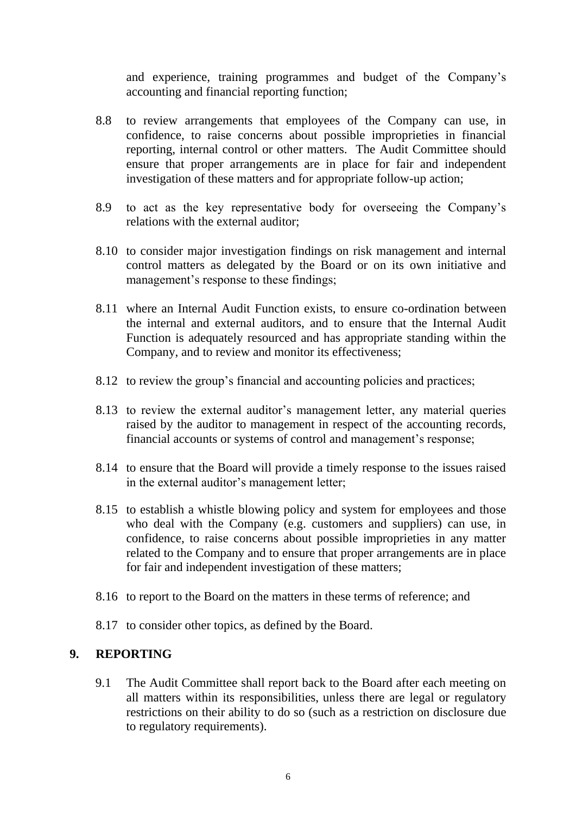and experience, training programmes and budget of the Company's accounting and financial reporting function;

- 8.8 to review arrangements that employees of the Company can use, in confidence, to raise concerns about possible improprieties in financial reporting, internal control or other matters. The Audit Committee should ensure that proper arrangements are in place for fair and independent investigation of these matters and for appropriate follow-up action;
- 8.9 to act as the key representative body for overseeing the Company's relations with the external auditor;
- 8.10 to consider major investigation findings on risk management and internal control matters as delegated by the Board or on its own initiative and management's response to these findings;
- 8.11 where an Internal Audit Function exists, to ensure co-ordination between the internal and external auditors, and to ensure that the Internal Audit Function is adequately resourced and has appropriate standing within the Company, and to review and monitor its effectiveness;
- 8.12 to review the group's financial and accounting policies and practices;
- 8.13 to review the external auditor's management letter, any material queries raised by the auditor to management in respect of the accounting records, financial accounts or systems of control and management's response;
- 8.14 to ensure that the Board will provide a timely response to the issues raised in the external auditor's management letter;
- 8.15 to establish a whistle blowing policy and system for employees and those who deal with the Company (e.g. customers and suppliers) can use, in confidence, to raise concerns about possible improprieties in any matter related to the Company and to ensure that proper arrangements are in place for fair and independent investigation of these matters;
- 8.16 to report to the Board on the matters in these terms of reference; and
- 8.17 to consider other topics, as defined by the Board.

# **9. REPORTING**

9.1 The Audit Committee shall report back to the Board after each meeting on all matters within its responsibilities, unless there are legal or regulatory restrictions on their ability to do so (such as a restriction on disclosure due to regulatory requirements).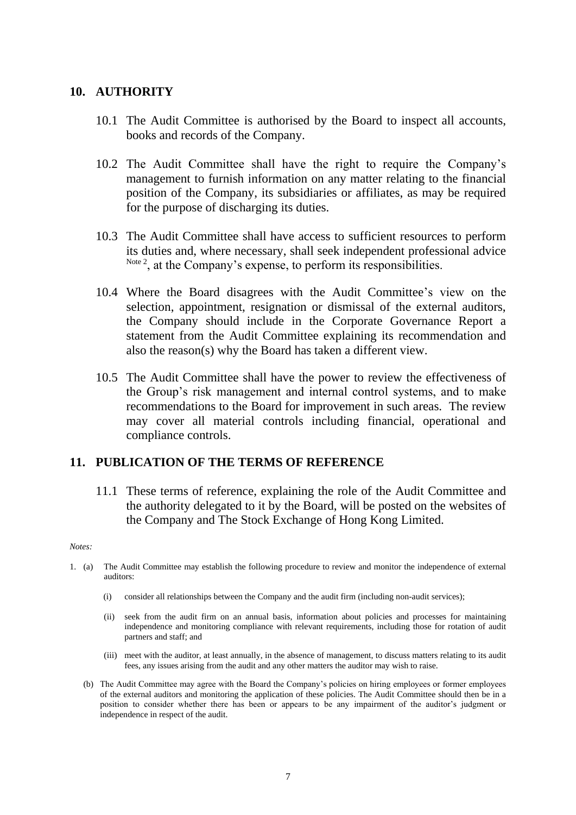#### **10. AUTHORITY**

- 10.1 The Audit Committee is authorised by the Board to inspect all accounts, books and records of the Company.
- 10.2 The Audit Committee shall have the right to require the Company's management to furnish information on any matter relating to the financial position of the Company, its subsidiaries or affiliates, as may be required for the purpose of discharging its duties.
- 10.3 The Audit Committee shall have access to sufficient resources to perform its duties and, where necessary, shall seek independent professional advice <sup>Note 2</sup>, at the Company's expense, to perform its responsibilities.
- 10.4 Where the Board disagrees with the Audit Committee's view on the selection, appointment, resignation or dismissal of the external auditors, the Company should include in the Corporate Governance Report a statement from the Audit Committee explaining its recommendation and also the reason(s) why the Board has taken a different view.
- 10.5 The Audit Committee shall have the power to review the effectiveness of the Group's risk management and internal control systems, and to make recommendations to the Board for improvement in such areas. The review may cover all material controls including financial, operational and compliance controls.

#### **11. PUBLICATION OF THE TERMS OF REFERENCE**

11.1 These terms of reference, explaining the role of the Audit Committee and the authority delegated to it by the Board, will be posted on the websites of the Company and The Stock Exchange of Hong Kong Limited.

#### *Notes:*

- 1. (a) The Audit Committee may establish the following procedure to review and monitor the independence of external auditors:
	- (i) consider all relationships between the Company and the audit firm (including non-audit services);
	- (ii) seek from the audit firm on an annual basis, information about policies and processes for maintaining independence and monitoring compliance with relevant requirements, including those for rotation of audit partners and staff; and
	- (iii) meet with the auditor, at least annually, in the absence of management, to discuss matters relating to its audit fees, any issues arising from the audit and any other matters the auditor may wish to raise.
	- (b) The Audit Committee may agree with the Board the Company's policies on hiring employees or former employees of the external auditors and monitoring the application of these policies. The Audit Committee should then be in a position to consider whether there has been or appears to be any impairment of the auditor's judgment or independence in respect of the audit.